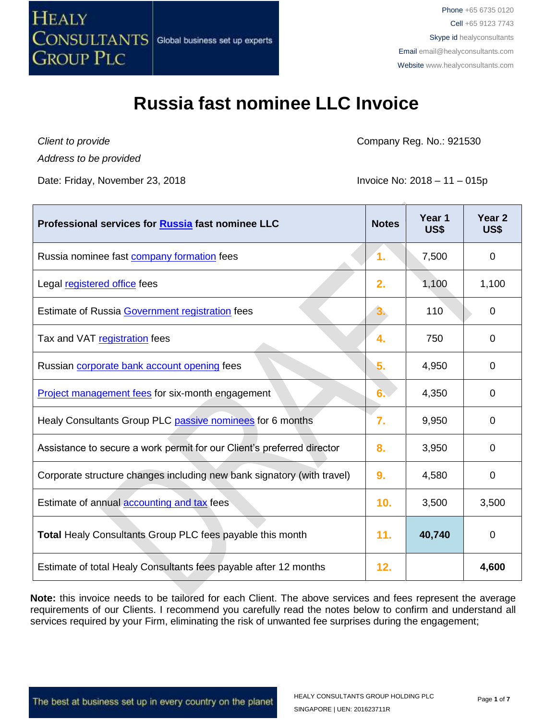

*Client to provide Address to be provided*

Date: Friday, November 23, 2018 **Invoice No: 2018 – 11 – 015p** 

Company Reg. No.: 921530

| Professional services for Russia fast nominee LLC                      | <b>Notes</b> | Year <sub>1</sub><br>US\$ | Year <sub>2</sub><br><b>US\$</b> |
|------------------------------------------------------------------------|--------------|---------------------------|----------------------------------|
| Russia nominee fast <b>company</b> formation fees                      | 1.           | 7,500                     | 0                                |
| Legal registered office fees                                           | 2.           | 1,100                     | 1,100                            |
| Estimate of Russia Government registration fees                        | З.           | 110                       | 0                                |
| Tax and VAT registration fees                                          | 4.           | 750                       | 0                                |
| Russian corporate bank account opening fees                            | 5.           | 4,950                     | 0                                |
| <b>Project management fees for six-month engagement</b>                | 6.           | 4,350                     | 0                                |
| Healy Consultants Group PLC passive nominees for 6 months              | 7.           | 9,950                     | 0                                |
| Assistance to secure a work permit for our Client's preferred director | 8.           | 3,950                     | 0                                |
| Corporate structure changes including new bank signatory (with travel) | 9.           | 4,580                     | $\overline{0}$                   |
| Estimate of annual <b>accounting and tax</b> fees                      | 10.          | 3,500                     | 3,500                            |
| <b>Total Healy Consultants Group PLC fees payable this month</b>       | 11.          | 40,740                    | $\overline{0}$                   |
| Estimate of total Healy Consultants fees payable after 12 months       | 12.          |                           | 4,600                            |

**Note:** this invoice needs to be tailored for each Client. The above services and fees represent the average requirements of our Clients. I recommend you carefully read the notes below to confirm and understand all services required by your Firm, eliminating the risk of unwanted fee surprises during the engagement;

The best at business set up in every country on the planet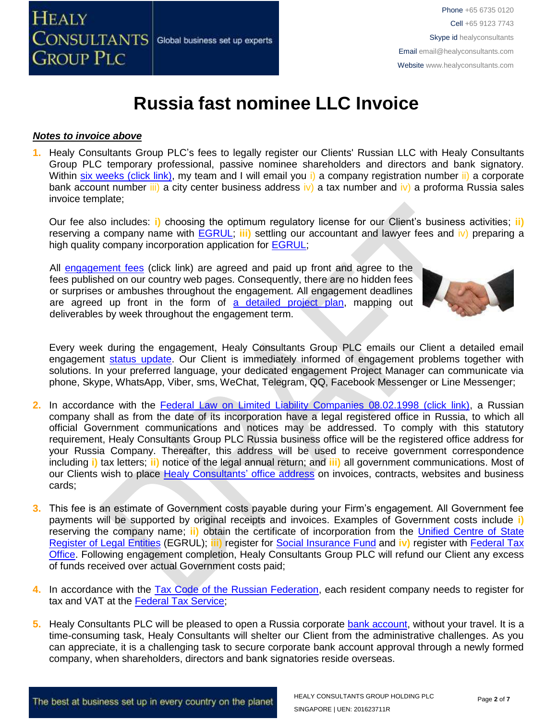

#### *Notes to invoice above*

**1.** Healy Consultants Group PLC's fees to legally register our Clients' Russian LLC with Healy Consultants Group PLC temporary professional, passive nominee shareholders and directors and bank signatory. Within [six weeks \(click link\),](http://www.healyconsultants.com/russia-company-registration/fees-timelines/#timelines) my team and I will email you i) a company registration number ii) a corporate bank account number iii) a city center business address iv) a tax number and iv) a proforma Russia sales invoice template;

Our fee also includes: **i)** choosing the optimum regulatory license for our Client's business activities; **ii)** reserving a company name with [EGRUL;](http://egrul.nalog.ru/) **iii)** settling our accountant and lawyer fees and iv) preparing a high quality company incorporation application for **EGRUL**;

All [engagement fees](http://www.healyconsultants.com/company-registration-fees/) (click link) are agreed and paid up front and agree to the fees published on our country web pages. Consequently, there are no hidden fees or surprises or ambushes throughout the engagement. All engagement deadlines are agreed up front in the form of [a detailed project plan,](http://www.healyconsultants.com/index-important-links/example-project-plan/) mapping out deliverables by week throughout the engagement term.



Every week during the engagement, Healy Consultants Group PLC emails our Client a detailed email engagement [status update.](http://www.healyconsultants.com/index-important-links/weekly-engagement-status-email/) Our Client is immediately informed of engagement problems together with solutions. In your preferred language, your dedicated engagement Project Manager can communicate via phone, Skype, WhatsApp, Viber, sms, WeChat, Telegram, QQ, Facebook Messenger or Line Messenger;

- **2.** In accordance with the [Federal Law on Limited Liability Companies 08.02.1998 \(click link\),](http://www.consultant.ru/popular/ooo/) a Russian company shall as from the date of its incorporation have a legal registered office in Russia, to which all official Government communications and notices may be addressed. To comply with this statutory requirement, Healy Consultants Group PLC Russia business office will be the registered office address for your Russia Company. Thereafter, this address will be used to receive government correspondence including **i)** tax letters; **ii)** notice of the legal annual return; and **iii)** all government communications. Most of our Clients wish to place [Healy Consultants'](http://www.healyconsultants.com/corporate-outsourcing-services/company-secretary-and-legal-registered-office/) office address on invoices, contracts, websites and business cards;
- **3.** This fee is an estimate of Government costs payable during your Firm's engagement. All Government fee payments will be supported by original receipts and invoices. Examples of Government costs include **i)** reserving the company name; **ii)** obtain the certificate of incorporation from the [Unified Centre of State](http://egrul.nalog.ru/)  Register [of Legal Entities](http://egrul.nalog.ru/) (EGRUL); **iii)** register for [Social Insurance Fund](http://fss.ru/) and **iv)** register with [Federal Tax](http://www.nalog.ru/rn77/)  [Office.](http://www.nalog.ru/rn77/) Following engagement completion, Healy Consultants Group PLC will refund our Client any excess of funds received over actual Government costs paid;
- **4.** In accordance with the [Tax Code of the Russian Federation,](http://www.russian-tax-code.com/) each resident company needs to register for tax and VAT at the [Federal Tax Service;](https://www.nalog.ru/eng/1.html)
- **5.** Healy Consultants PLC will be pleased to open a Russia corporate [bank account,](http://www.healyconsultants.com/russia-company-registration/banking/) without your travel. It is a time-consuming task, Healy Consultants will shelter our Client from the administrative challenges. As you can appreciate, it is a challenging task to secure corporate bank account approval through a newly formed company, when shareholders, directors and bank signatories reside overseas.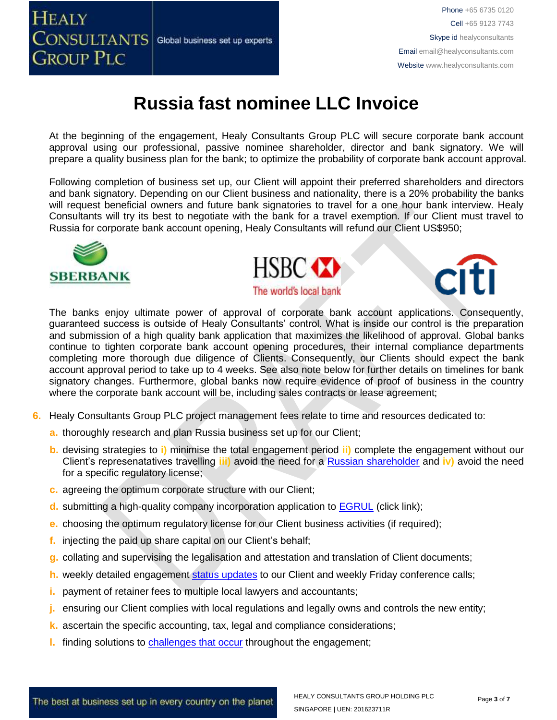

At the beginning of the engagement, Healy Consultants Group PLC will secure corporate bank account approval using our professional, passive nominee shareholder, director and bank signatory. We will prepare a quality business plan for the bank; to optimize the probability of corporate bank account approval.

Following completion of business set up, our Client will appoint their preferred shareholders and directors and bank signatory. Depending on our Client business and nationality, there is a 20% probability the banks will request beneficial owners and future bank signatories to travel for a one hour bank interview. Healy Consultants will try its best to negotiate with the bank for a travel exemption. If our Client must travel to Russia for corporate bank account opening, Healy Consultants will refund our Client US\$950;







The banks enjoy ultimate power of approval of corporate bank account applications. Consequently, guaranteed success is outside of Healy Consultants' control. What is inside our control is the preparation and submission of a high quality bank application that maximizes the likelihood of approval. Global banks continue to tighten corporate bank account opening procedures, their internal compliance departments completing more thorough due diligence of Clients. Consequently, our Clients should expect the bank account approval period to take up to 4 weeks. See also note below for further details on timelines for bank signatory changes. Furthermore, global banks now require evidence of proof of business in the country where the corporate bank account will be, including sales contracts or lease agreement;

- **6.** Healy Consultants Group PLC project management fees relate to time and resources dedicated to:
	- **a.** thoroughly research and plan Russia business set up for our Client;
	- **b.** devising strategies to **i)** minimise the total engagement period **ii)** complete the engagement without our Client's represenatatives travelling **iii)** avoid the need for a [Russian shareholder](http://www.healyconsultants.com/national-shareholder-services/) and **iv)** avoid the need for a specific regulatory license;
	- **c.** agreeing the optimum corporate structure with our Client;
	- **d.** submitting a high-quality company incorporation application to [EGRUL](http://egrul.nalog.ru/) (click link);
	- **e.** choosing the optimum regulatory license for our Client business activities (if required);
	- **f.** injecting the paid up share capital on our Client's behalf;
	- **g.** collating and supervising the legalisation and attestation and translation of Client documents;
	- **h.** weekly detailed engagement [status updates](http://www.healyconsultants.com/index-important-links/weekly-engagement-status-email/) to our Client and weekly Friday conference calls;
	- **i.** payment of retainer fees to multiple local lawyers and accountants;
	- **j.** ensuring our Client complies with local regulations and legally owns and controls the new entity;
	- **k.** ascertain the specific accounting, tax, legal and compliance considerations;
	- **l.** finding solutions to [challenges that occur](http://www.healyconsultants.com/engagement-project-management/) throughout the engagement;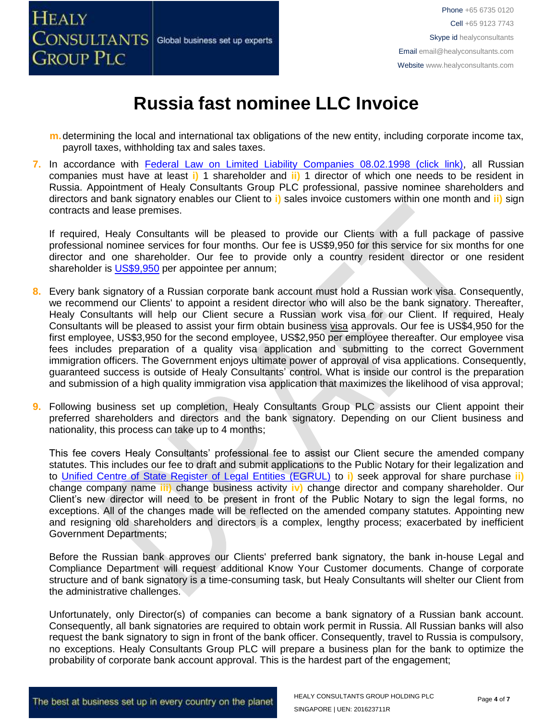

- **m.**determining the local and international tax obligations of the new entity, including corporate income tax, payroll taxes, withholding tax and sales taxes.
- 7. In accordance with [Federal Law on Limited Liability Companies 08.02.1998 \(click link\),](http://www.consultant.ru/popular/ooo/) all Russian companies must have at least **i)** 1 shareholder and **ii)** 1 director of which one needs to be resident in Russia. Appointment of Healy Consultants Group PLC professional, passive nominee shareholders and directors and bank signatory enables our Client to **i)** sales invoice customers within one month and **ii)** sign contracts and lease premises.

If required, Healy Consultants will be pleased to provide our Clients with a full package of passive professional nominee services for four months. Our fee is US\$9,950 for this service for six months for one director and one shareholder. Our fee to provide only a country resident director or one resident shareholder is [US\\$9,950](http://www.healyconsultants.com/corporate-advisory-services/nominee-shareholders-directors/resident-director-services/) per appointee per annum;

- **8.** Every bank signatory of a Russian corporate bank account must hold a Russian work visa. Consequently, we recommend our Clients' to appoint a resident director who will also be the bank signatory. Thereafter, Healy Consultants will help our Client secure a Russian work visa for our Client. If required, Healy Consultants will be pleased to assist your firm obtain business [visa](http://www.healyconsultants.com/russia-company-registration/formation-support-services) approvals. Our fee is US\$4,950 for the first employee, US\$3,950 for the second employee, US\$2,950 per employee thereafter. Our employee visa fees includes preparation of a quality visa application and submitting to the correct Government immigration officers. The Government enjoys ultimate power of approval of visa applications. Consequently, guaranteed success is outside of Healy Consultants' control. What is inside our control is the preparation and submission of a high quality immigration visa application that maximizes the likelihood of visa approval;
- **9.** Following business set up completion, Healy Consultants Group PLC assists our Client appoint their preferred shareholders and directors and the bank signatory. Depending on our Client business and nationality, this process can take up to 4 months;

This fee covers Healy Consultants' professional fee to assist our Client secure the amended company statutes. This includes our fee to draft and submit applications to the Public Notary for their legalization and to [Unified Centre of State Register of Legal Entities \(EGRUL\)](http://egrul.nalog.ru/) to **i)** seek approval for share purchase **ii)** change company name **iii)** change business activity **iv)** change director and company shareholder. Our Client's new director will need to be present in front of the Public Notary to sign the legal forms, no exceptions. All of the changes made will be reflected on the amended company statutes. Appointing new and resigning old shareholders and directors is a complex, lengthy process; exacerbated by inefficient Government Departments;

Before the Russian bank approves our Clients' preferred bank signatory, the bank in-house Legal and Compliance Department will request additional Know Your Customer documents. Change of corporate structure and of bank signatory is a time-consuming task, but Healy Consultants will shelter our Client from the administrative challenges.

Unfortunately, only Director(s) of companies can become a bank signatory of a Russian bank account. Consequently, all bank signatories are required to obtain work permit in Russia. All Russian banks will also request the bank signatory to sign in front of the bank officer. Consequently, travel to Russia is compulsory, no exceptions. Healy Consultants Group PLC will prepare a business plan for the bank to optimize the probability of corporate bank account approval. This is the hardest part of the engagement;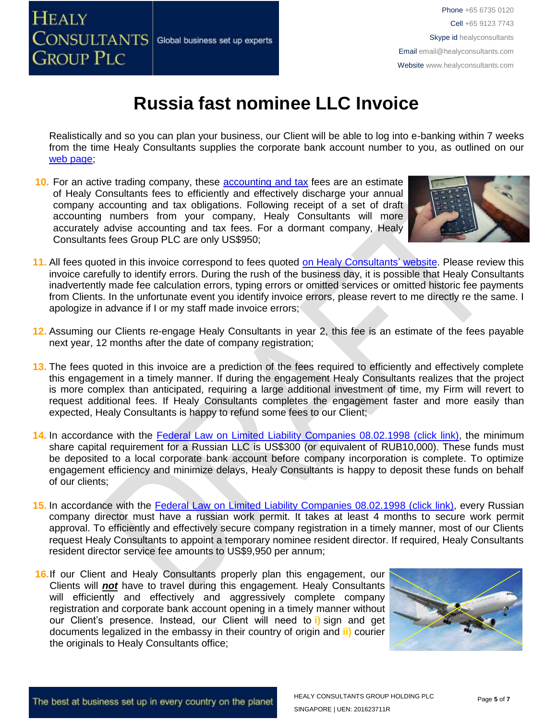

Realistically and so you can plan your business, our Client will be able to log into e-banking within 7 weeks from the time Healy Consultants supplies the corporate bank account number to you, as outlined on our [web page;](http://www.healyconsultants.com/russia-company-registration/turnkey-solutions/)

**10.** For an active trading company, these [accounting and tax](http://www.healyconsultants.com/russia-company-registration/accounting-legal/) fees are an estimate of Healy Consultants fees to efficiently and effectively discharge your annual company accounting and tax obligations. Following receipt of a set of draft accounting numbers from your company, Healy Consultants will more accurately advise accounting and tax fees. For a dormant company, Healy Consultants fees Group PLC are only US\$950;



- **11.** All fees quoted in this invoice correspond to fees quoted [on Healy Consultants' website.](http://www.healyconsultants.com/company-registration-fees/) Please review this invoice carefully to identify errors. During the rush of the business day, it is possible that Healy Consultants inadvertently made fee calculation errors, typing errors or omitted services or omitted historic fee payments from Clients. In the unfortunate event you identify invoice errors, please revert to me directly re the same. I apologize in advance if I or my staff made invoice errors;
- **12.** Assuming our Clients re-engage Healy Consultants in year 2, this fee is an estimate of the fees payable next year, 12 months after the date of company registration;
- **13.** The fees quoted in this invoice are a prediction of the fees required to efficiently and effectively complete this engagement in a timely manner. If during the engagement Healy Consultants realizes that the project is more complex than anticipated, requiring a large additional investment of time, my Firm will revert to request additional fees. If Healy Consultants completes the engagement faster and more easily than expected, Healy Consultants is happy to refund some fees to our Client;
- **14.** In accordance with the [Federal Law on Limited Liability Companies 08.02.1998 \(click link\),](http://www.consultant.ru/popular/ooo/) the minimum share capital requirement for a Russian LLC is US\$300 (or equivalent of RUB10,000). These funds must be deposited to a local corporate bank account before company incorporation is complete. To optimize engagement efficiency and minimize delays, Healy Consultants is happy to deposit these funds on behalf of our clients;
- 15. In accordance with the [Federal Law on Limited Liability Companies 08.02.1998 \(click link\),](http://www.consultant.ru/popular/ooo/) every Russian company director must have a russian work permit. It takes at least 4 months to secure work permit approval. To efficiently and effectively secure company registration in a timely manner, most of our Clients request Healy Consultants to appoint a temporary nominee resident director. If required, Healy Consultants resident director service fee amounts to US\$9,950 per annum;
- **16.**If our Client and Healy Consultants properly plan this engagement, our Clients will *not* have to travel during this engagement. Healy Consultants will efficiently and effectively and aggressively complete company registration and corporate bank account opening in a timely manner without our Client's presence. Instead, our Client will need to **i)** sign and get documents legalized in the embassy in their country of origin and **ii)** courier the originals to Healy Consultants office;

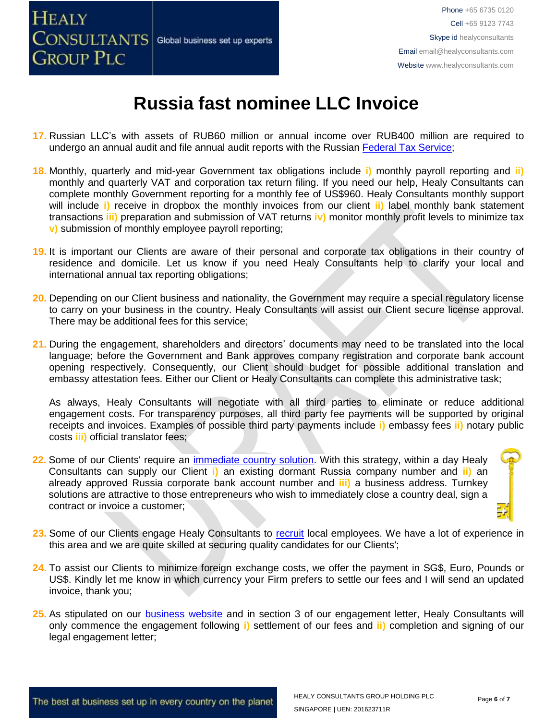

- **17.** Russian LLC's with assets of RUB60 million or annual income over RUB400 million are required to undergo an annual audit and file annual audit reports with the Russian [Federal Tax Service;](https://www.nalog.ru/eng/1.html)
- **18.** Monthly, quarterly and mid-year Government tax obligations include **i)** monthly payroll reporting and **ii)** monthly and quarterly VAT and corporation tax return filing. If you need our help, Healy Consultants can complete monthly Government reporting for a monthly fee of US\$960. Healy Consultants monthly support will include **i)** receive in dropbox the monthly invoices from our client **ii)** label monthly bank statement transactions **iii)** preparation and submission of VAT returns **iv)** monitor monthly profit levels to minimize tax **v)** submission of monthly employee payroll reporting;
- **19.** It is important our Clients are aware of their personal and corporate tax obligations in their country of residence and domicile. Let us know if you need Healy Consultants help to clarify your local and international annual tax reporting obligations;
- **20.** Depending on our Client business and nationality, the Government may require a special regulatory license to carry on your business in the country. Healy Consultants will assist our Client secure license approval. There may be additional fees for this service;
- **21.** During the engagement, shareholders and directors' documents may need to be translated into the local language; before the Government and Bank approves company registration and corporate bank account opening respectively. Consequently, our Client should budget for possible additional translation and embassy attestation fees. Either our Client or Healy Consultants can complete this administrative task;

As always, Healy Consultants will negotiate with all third parties to eliminate or reduce additional engagement costs. For transparency purposes, all third party fee payments will be supported by original receipts and invoices. Examples of possible third party payments include **i)** embassy fees **ii)** notary public costs **iii)** official translator fees;

- 22. Some of our Clients' require an *immediate country solution*. With this strategy, within a day Healy Consultants can supply our Client **i)** an existing dormant Russia company number and **ii)** an already approved Russia corporate bank account number and **iii)** a business address. Turnkey solutions are attractive to those entrepreneurs who wish to immediately close a country deal, sign a contract or invoice a customer;
- **23.** Some of our Clients engage Healy Consultants to [recruit](http://www.healyconsultants.com/corporate-outsourcing-services/how-we-help-our-clients-recruit-quality-employees/) local employees. We have a lot of experience in this area and we are quite skilled at securing quality candidates for our Clients';
- **24.** To assist our Clients to minimize foreign exchange costs, we offer the payment in SG\$, Euro, Pounds or US\$. Kindly let me know in which currency your Firm prefers to settle our fees and I will send an updated invoice, thank you;
- **25.** As stipulated on our [business website](http://www.healyconsultants.com/) and in section 3 of our engagement letter, Healy Consultants will only commence the engagement following **i)** settlement of our fees and **ii)** completion and signing of our legal engagement letter;